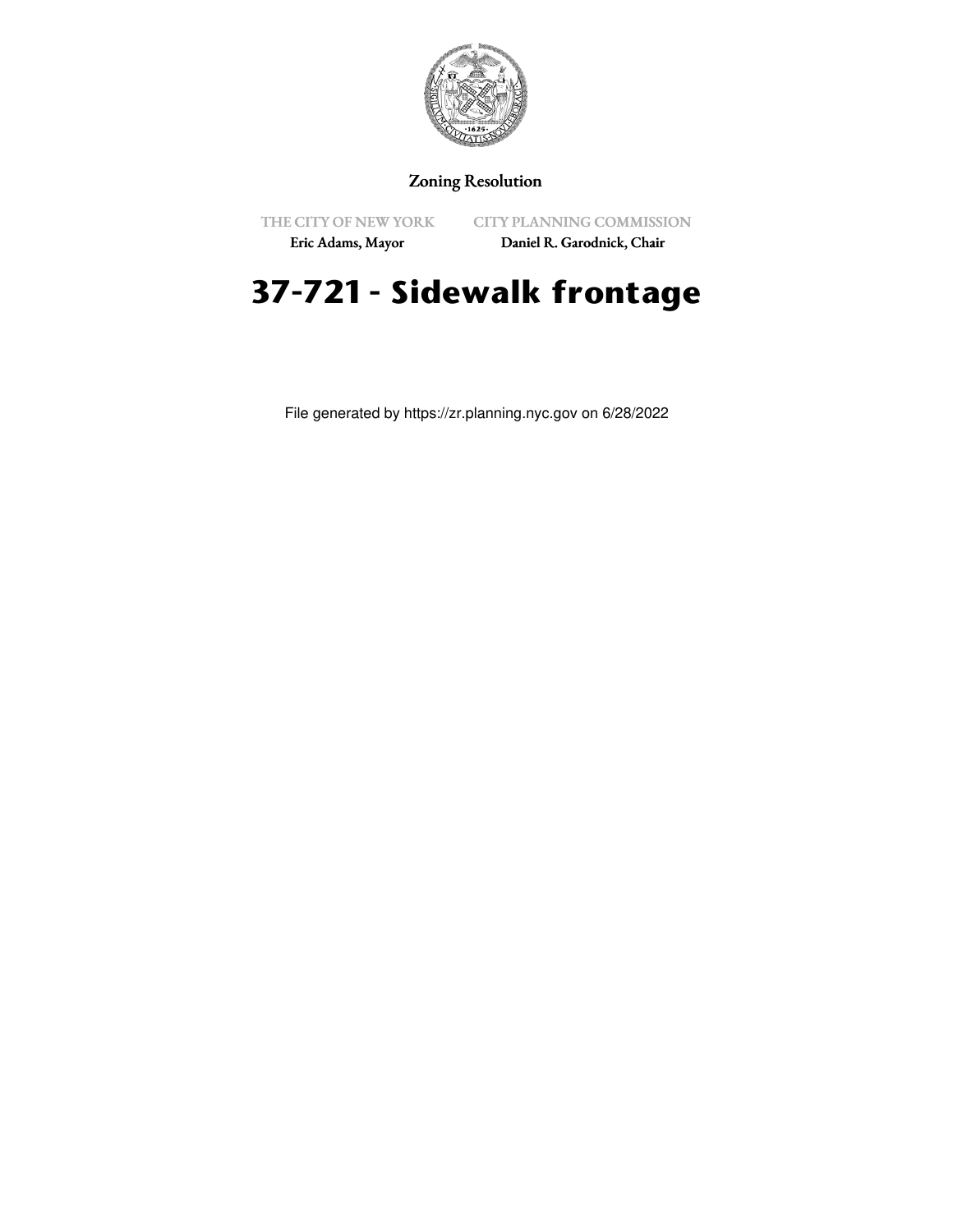

## Zoning Resolution

THE CITY OF NEW YORK

CITY PLANNING COMMISSION

Eric Adams, Mayor

Daniel R. Garodnick, Chair

## **37-721 - Sidewalk frontage**

File generated by https://zr.planning.nyc.gov on 6/28/2022